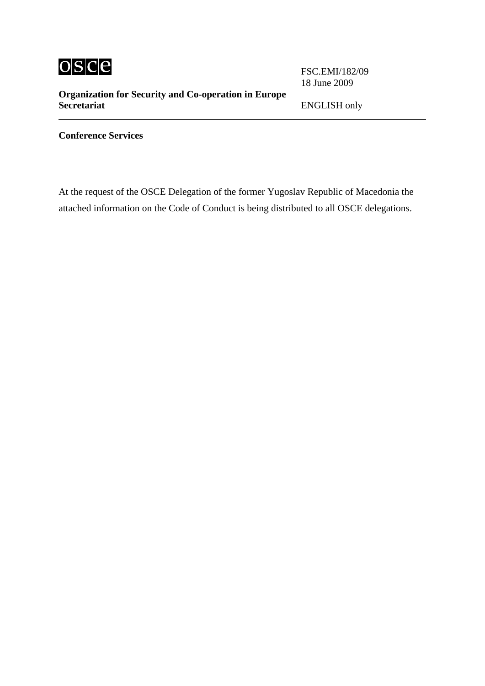

**Organization for Security and Co-operation in Europe Secretariat** ENGLISH only

FSC.EMI/182/09 18 June 2009

**Conference Services**

At the request of the OSCE Delegation of the former Yugoslav Republic of Macedonia the attached information on the Code of Conduct is being distributed to all OSCE delegations.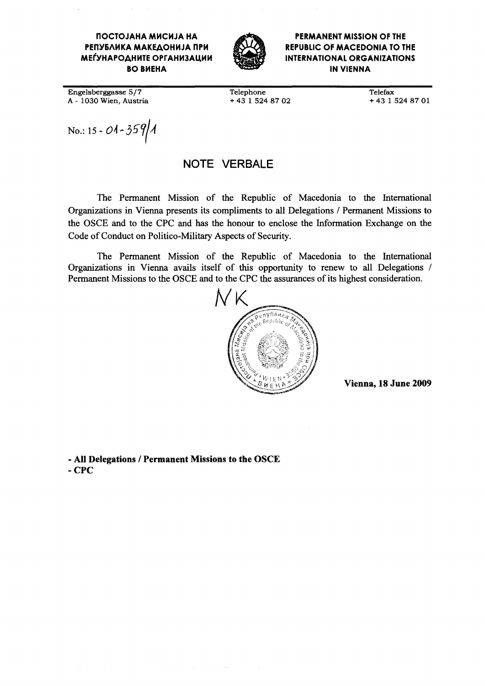#### ПОСТОЈАНА МИСИЈА НА РЕПУБЛИКА МАКЕДОНИЈА ПРИ **МЕЃУНАРОДНИТЕ ОРГАНИЗАЦИИ BO BHEHA**



**PERMANENT MISSION OF THE REPUBLIC OF MACEDONIA TO THE INTERNATIONAL ORGANIZATIONS IN VIENNA** 

Engelsberggasse 5/7 A - 1030 Wien, Austria Telephone +43 1 524 87 02 **Telefax** +43 1 524 87 01

No.: 15 - 01 - 359/1

### NOTE VERBALE

The Permanent Mission of the Republic of Macedonia to the International Organizations in Vienna presents its compliments to all Delegations / Permanent Missions to the OSCE and to the CPC and has the honour to enclose the Information Exchange on the Code of Conduct on Politico-Military Aspects of Security.

The Permanent Mission of the Republic of Macedonia to the International Organizations in Vienna avails itself of this opportunity to renew to all Delegations / Permanent Missions to the OSCE and to the CPC the assurances of its highest consideration.



Vienna, 18 June 2009

- All Delegations / Permanent Missions to the OSCE  $-$  CPC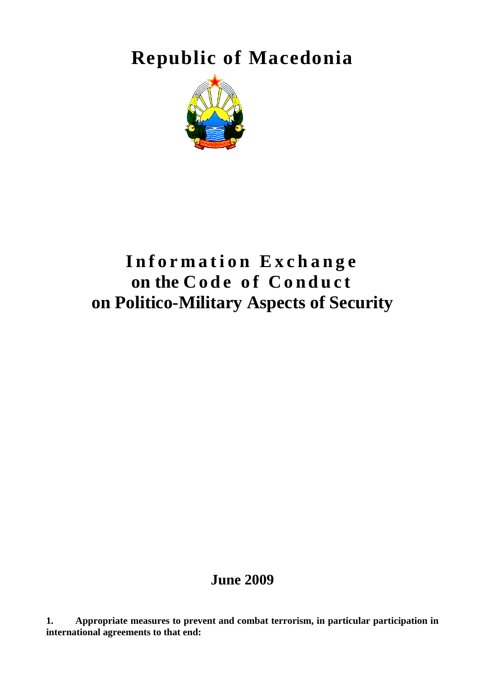**Republic of Macedonia** 



# **Information Exchange**  on the Code of Conduct **on Politico-Military Aspects of Security**

## **June 2009**

**1. Appropriate measures to prevent and combat terrorism, in particular participation in international agreements to that end:**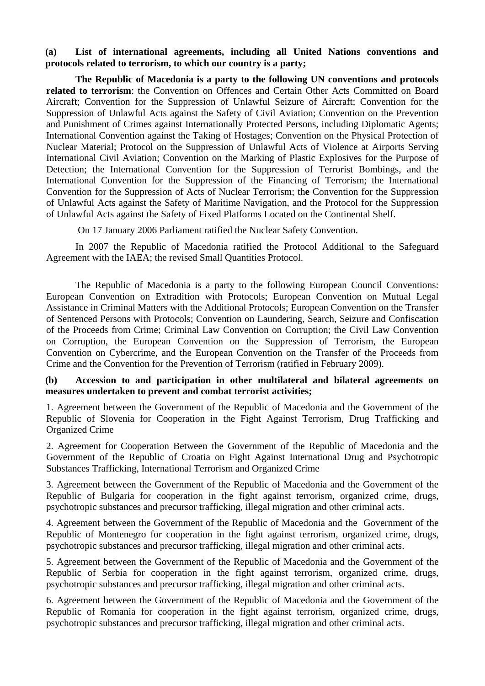#### **(a) List of international agreements, including all United Nations conventions and protocols related to terrorism, to which our country is a party;**

**The Republic of Macedonia is a party to the following UN conventions and protocols related to terrorism**: the Convention on Offences and Certain Other Acts Committed on Board Aircraft; Convention for the Suppression of Unlawful Seizure of Aircraft; Convention for the Suppression of Unlawful Acts against the Safety of Civil Aviation; Convention on the Prevention and Punishment of Crimes against Internationally Protected Persons, including Diplomatic Agents; International Convention against the Taking of Hostages; Convention on the Physical Protection of Nuclear Material; Protocol on the Suppression of Unlawful Acts of Violence at Airports Serving International Civil Aviation; Convention on the Marking of Plastic Explosives for the Purpose of Detection; the International Convention for the Suppression of Terrorist Bombings, and the International Convention for the Suppression of the Financing of Terrorism; the International Convention for the Suppression of Acts of Nuclear Terrorism; th**e** Convention for the Suppression of Unlawful Acts against the Safety of Maritime Navigation, and the Protocol for the Suppression of Unlawful Acts against the Safety of Fixed Platforms Located on the Continental Shelf.

On 17 January 2006 Parliament ratified the Nuclear Safety Convention.

In 2007 the Republic of Macedonia ratified the Protocol Additional to the Safeguard Agreement with the IAEA; the revised Small Quantities Protocol.

The Republic of Macedonia is a party to the following European Council Conventions: European Convention on Extradition with Protocols; European Convention on Mutual Legal Assistance in Criminal Matters with the Additional Protocols; European Convention on the Transfer of Sentenced Persons with Protocols; Convention on Laundering, Search, Seizure and Confiscation of the Proceeds from Crime; Criminal Law Convention on Corruption; the Civil Law Convention on Corruption, the European Convention on the Suppression of Terrorism, the European Convention on Cybercrime, and the European Convention on the Transfer of the Proceeds from Crime and the Convention for the Prevention of Terrorism (ratified in February 2009).

#### **(b) Accession to and participation in other multilateral and bilateral agreements on measures undertaken to prevent and combat terrorist activities;**

1. Agreement between the Government of the Republic of Macedonia and the Government of the Republic of Slovenia for Cooperation in the Fight Against Terrorism, Drug Trafficking and Organized Crime

2. Agreement for Cooperation Between the Government of the Republic of Macedonia and the Government of the Republic of Croatia on Fight Against International Drug and Psychotropic Substances Trafficking, International Terrorism and Organized Crime

3. Agreement between the Government of the Republic of Macedonia and the Government of the Republic of Bulgaria for cooperation in the fight against terrorism, organized crime, drugs, psychotropic substances and precursor trafficking, illegal migration and other criminal acts.

4. Agreement between the Government of the Republic of Macedonia and the Government of the Republic of Montenegro for cooperation in the fight against terrorism, organized crime, drugs, psychotropic substances and precursor trafficking, illegal migration and other criminal acts.

5. Agreement between the Government of the Republic of Macedonia and the Government of the Republic of Serbia for cooperation in the fight against terrorism, organized crime, drugs, psychotropic substances and precursor trafficking, illegal migration and other criminal acts.

6. Agreement between the Government of the Republic of Macedonia and the Government of the Republic of Romania for cooperation in the fight against terrorism, organized crime, drugs, psychotropic substances and precursor trafficking, illegal migration and other criminal acts.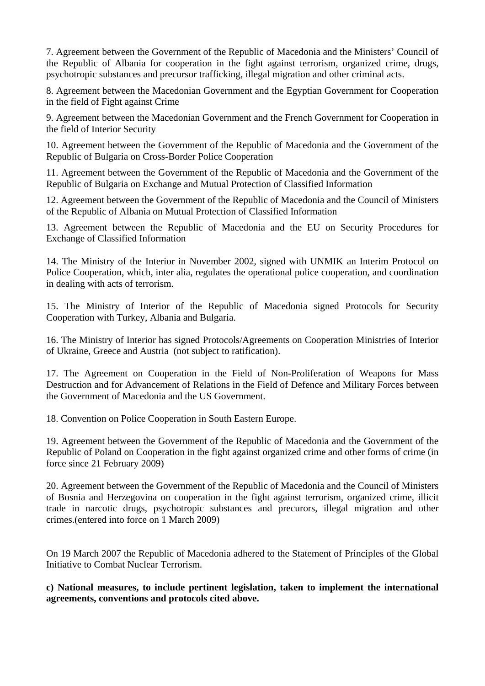7. Agreement between the Government of the Republic of Macedonia and the Ministers' Council of the Republic of Albania for cooperation in the fight against terrorism, organized crime, drugs, psychotropic substances and precursor trafficking, illegal migration and other criminal acts.

8. Agreement between the Macedonian Government and the Egyptian Government for Cooperation in the field of Fight against Crime

9. Agreement between the Macedonian Government and the French Government for Cooperation in the field of Interior Security

10. Agreement between the Government of the Republic of Macedonia and the Government of the Republic of Bulgaria on Cross-Border Police Cooperation

11. Agreement between the Government of the Republic of Macedonia and the Government of the Republic of Bulgaria on Exchange and Mutual Protection of Classified Information

12. Agreement between the Government of the Republic of Macedonia and the Council of Ministers of the Republic of Albania on Mutual Protection of Classified Information

13. Agreement between the Republic of Macedonia and the EU on Security Procedures for Exchange of Classified Information

14. The Ministry of the Interior in November 2002, signed with UNMIK an Interim Protocol on Police Cooperation, which, inter alia, regulates the operational police cooperation, and coordination in dealing with acts of terrorism.

15. The Ministry of Interior of the Republic of Macedonia signed Protocols for Security Cooperation with Turkey, Albania and Bulgaria.

16. The Ministry of Interior has signed Protocols/Agreements on Cooperation Ministries of Interior of Ukraine, Greece and Austria (not subject to ratification).

17. The Agreement on Cooperation in the Field of Non-Proliferation of Weapons for Mass Destruction and for Advancement of Relations in the Field of Defence and Military Forces between the Government of Macedonia and the US Government.

18. Convention on Police Cooperation in South Eastern Europe.

19. Agreement between the Government of the Republic of Macedonia and the Government of the Republic of Poland on Cooperation in the fight against organized crime and other forms of crime (in force since 21 February 2009)

20. Agreement between the Government of the Republic of Macedonia and the Council of Ministers of Bosnia and Herzegovina on cooperation in the fight against terrorism, organized crime, illicit trade in narcotic drugs, psychotropic substances and precurors, illegal migration and other crimes.(entered into force on 1 March 2009)

On 19 March 2007 the Republic of Macedonia adhered to the Statement of Principles of the Global Initiative to Combat Nuclear Terrorism.

**c) National measures, to include pertinent legislation, taken to implement the international agreements, conventions and protocols cited above.**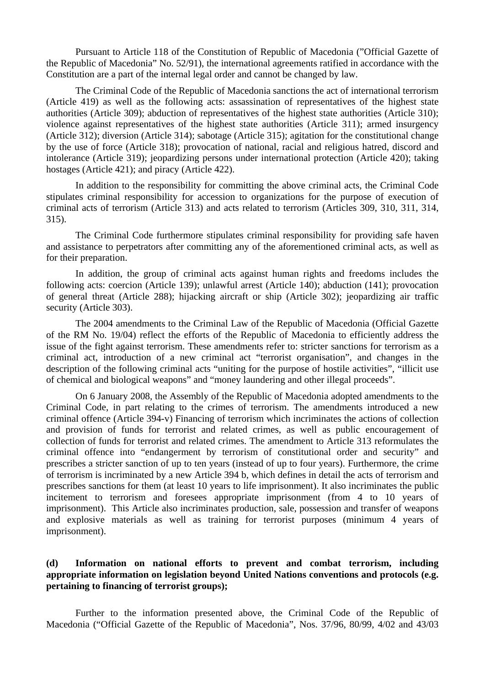Pursuant to Article 118 of the Constitution of Republic of Macedonia ("Official Gazette of the Republic of Macedonia" No. 52/91), the international agreements ratified in accordance with the Constitution are a part of the internal legal order and cannot be changed by law.

The Criminal Code of the Republic of Macedonia sanctions the act of international terrorism (Article 419) as well as the following acts: assassination of representatives of the highest state authorities (Article 309); abduction of representatives of the highest state authorities (Article 310); violence against representatives of the highest state authorities (Article 311); armed insurgency (Article 312); diversion (Article 314); sabotage (Article 315); agitation for the constitutional change by the use of force (Article 318); provocation of national, racial and religious hatred, discord and intolerance (Article 319); jeopardizing persons under international protection (Article 420); taking hostages (Article 421); and piracy (Article 422).

In addition to the responsibility for committing the above criminal acts, the Criminal Code stipulates criminal responsibility for accession to organizations for the purpose of execution of criminal acts of terrorism (Article 313) and acts related to terrorism (Articles 309, 310, 311, 314, 315).

The Criminal Code furthermore stipulates criminal responsibility for providing safe haven and assistance to perpetrators after committing any of the aforementioned criminal acts, as well as for their preparation.

In addition, the group of criminal acts against human rights and freedoms includes the following acts: coercion (Article 139); unlawful arrest (Article 140); abduction (141); provocation of general threat (Article 288); hijacking aircraft or ship (Article 302); jeopardizing air traffic security (Article 303).

The 2004 amendments to the Criminal Law of the Republic of Macedonia (Official Gazette of the RM No. 19/04) reflect the efforts of the Republic of Macedonia to efficiently address the issue of the fight against terrorism. These amendments refer to: stricter sanctions for terrorism as a criminal act, introduction of a new criminal act "terrorist organisation", and changes in the description of the following criminal acts "uniting for the purpose of hostile activities", "illicit use of chemical and biological weapons" and "money laundering and other illegal proceeds".

On 6 January 2008, the Assembly of the Republic of Macedonia adopted amendments to the Criminal Code, in part relating to the crimes of terrorism. The amendments introduced a new criminal offence (Article 394-v) Financing of terrorism which incriminates the actions of collection and provision of funds for terrorist and related crimes, as well as public encouragement of collection of funds for terrorist and related crimes. The amendment to Article 313 reformulates the criminal offence into "endangerment by terrorism of constitutional order and security" and prescribes a stricter sanction of up to ten years (instead of up to four years). Furthermore, the crime of terrorism is incriminated by a new Article 394 b, which defines in detail the acts of terrorism and prescribes sanctions for them (at least 10 years to life imprisonment). It also incriminates the public incitement to terrorism and foresees appropriate imprisonment (from 4 to 10 years of imprisonment). This Article also incriminates production, sale, possession and transfer of weapons and explosive materials as well as training for terrorist purposes (minimum 4 years of imprisonment).

#### **(d) Information on national efforts to prevent and combat terrorism, including appropriate information on legislation beyond United Nations conventions and protocols (e.g. pertaining to financing of terrorist groups);**

Further to the information presented above, the Criminal Code of the Republic of Macedonia ("Official Gazette of the Republic of Macedonia", Nos. 37/96, 80/99, 4/02 and 43/03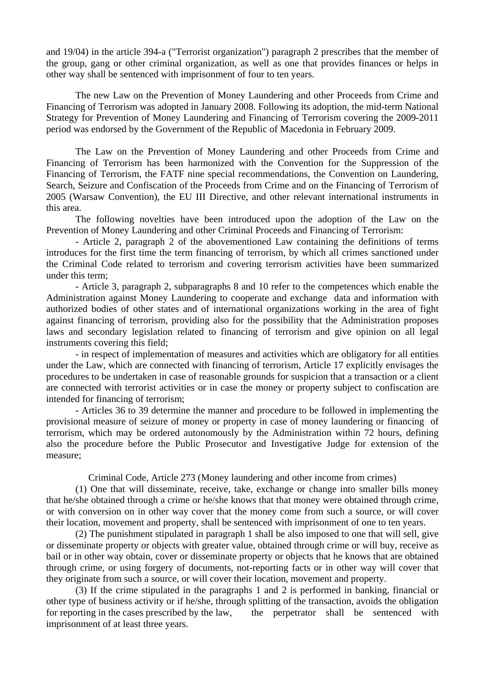and 19/04) in the article 394-a ("Terrorist organization") paragraph 2 prescribes that the member of the group, gang or other criminal organization, as well as one that provides finances or helps in other way shall be sentenced with imprisonment of four to ten years.

The new Law on the Prevention of Money Laundering and other Proceeds from Crime and Financing of Terrorism was adopted in January 2008. Following its adoption, the mid-term National Strategy for Prevention of Money Laundering and Financing of Terrorism covering the 2009-2011 period was endorsed by the Government of the Republic of Macedonia in February 2009.

The Law on the Prevention of Money Laundering and other Proceeds from Crime and Financing of Terrorism has been harmonized with the Convention for the Suppression of the Financing of Terrorism, the FATF nine special recommendations, the Convention on Laundering, Search, Seizure and Confiscation of the Proceeds from Crime and on the Financing of Terrorism of 2005 (Warsaw Convention), the EU III Directive, and other relevant international instruments in this area.

The following novelties have been introduced upon the adoption of the Law on the Prevention of Money Laundering and other Criminal Proceeds and Financing of Terrorism:

- Article 2, paragraph 2 of the abovementioned Law containing the definitions of terms introduces for the first time the term financing of terrorism, by which all crimes sanctioned under the Criminal Code related to terrorism and covering terrorism activities have been summarized under this term;

 - Article 3, paragraph 2, subparagraphs 8 and 10 refer to the competences which enable the Administration against Money Laundering to cooperate and exchange data and information with authorized bodies of other states and of international organizations working in the area of fight against financing of terrorism, providing also for the possibility that the Administration proposes laws and secondary legislation related to financing of terrorism and give opinion on all legal instruments covering this field;

- in respect of implementation of measures and activities which are obligatory for all entities under the Law, which are connected with financing of terrorism, Article 17 explicitly envisages the procedures to be undertaken in case of reasonable grounds for suspicion that a transaction or a client are connected with terrorist activities or in case the money or property subject to confiscation are intended for financing of terrorism;

- Articles 36 to 39 determine the manner and procedure to be followed in implementing the provisional measure of seizure of money or property in case of money laundering or financing of terrorism, which may be ordered autonomously by the Administration within 72 hours, defining also the procedure before the Public Prosecutor and Investigative Judge for extension of the measure;

Criminal Code, Article 273 (Money laundering and other income from crimes)

 (1) One that will disseminate, receive, take, exchange or change into smaller bills money that he/she obtained through a crime or he/she knows that that money were obtained through crime, or with conversion on in other way cover that the money come from such a source, or will cover their location, movement and property, shall be sentenced with imprisonment of one to ten years.

 (2) The punishment stipulated in paragraph 1 shall be also imposed to one that will sell, give or disseminate property or objects with greater value, obtained through crime or will buy, receive as bail or in other way obtain, cover or disseminate property or objects that he knows that are obtained through crime, or using forgery of documents, not-reporting facts or in other way will cover that they originate from such a source, or will cover their location, movement and property.

 (3) If the crime stipulated in the paragraphs 1 and 2 is performed in banking, financial or other type of business activity or if he/she, through splitting of the transaction, avoids the obligation for reporting in the cases prescribed by the law, the perpetrator shall be sentenced with imprisonment of at least three years.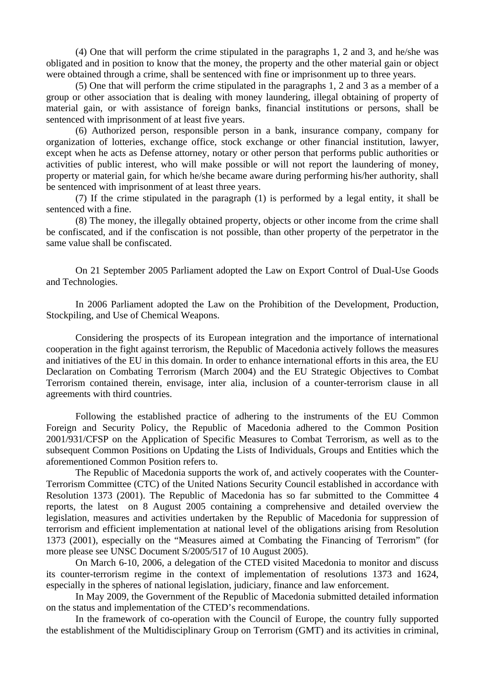(4) One that will perform the crime stipulated in the paragraphs 1, 2 and 3, and he/she was obligated and in position to know that the money, the property and the other material gain or object were obtained through a crime, shall be sentenced with fine or imprisonment up to three years.

(5) One that will perform the crime stipulated in the paragraphs 1, 2 and 3 as a member of a group or other association that is dealing with money laundering, illegal obtaining of property of material gain, or with assistance of foreign banks, financial institutions or persons, shall be sentenced with imprisonment of at least five years.

(6) Authorized person, responsible person in a bank, insurance company, company for organization of lotteries, exchange office, stock exchange or other financial institution, lawyer, except when he acts as Defense attorney, notary or other person that performs public authorities or activities of public interest, who will make possible or will not report the laundering of money, property or material gain, for which he/she became aware during performing his/her authority, shall be sentenced with imprisonment of at least three years.

(7) If the crime stipulated in the paragraph (1) is performed by a legal entity, it shall be sentenced with a fine.

(8) The money, the illegally obtained property, objects or other income from the crime shall be confiscated, and if the confiscation is not possible, than other property of the perpetrator in the same value shall be confiscated.

On 21 September 2005 Parliament adopted the Law on Export Control of Dual-Use Goods and Technologies.

In 2006 Parliament adopted the Law on the Prohibition of the Development, Production, Stockpiling, and Use of Chemical Weapons.

Considering the prospects of its European integration and the importance of international cooperation in the fight against terrorism, the Republic of Macedonia actively follows the measures and initiatives of the EU in this domain. In order to enhance international efforts in this area, the EU Declaration on Combating Terrorism (March 2004) and the EU Strategic Objectives to Combat Terrorism contained therein, envisage, inter alia, inclusion of a counter-terrorism clause in all agreements with third countries.

Following the established practice of adhering to the instruments of the EU Common Foreign and Security Policy, the Republic of Macedonia adhered to the Common Position 2001/931/CFSP on the Application of Specific Measures to Combat Terrorism, as well as to the subsequent Common Positions on Updating the Lists of Individuals, Groups and Entities which the aforementioned Common Position refers to.

The Republic of Macedonia supports the work of, and actively cooperates with the Counter-Terrorism Committee (CTC) of the United Nations Security Council established in accordance with Resolution 1373 (2001). The Republic of Macedonia has so far submitted to the Committee 4 reports, the latest on 8 August 2005 containing a comprehensive and detailed overview the legislation, measures and activities undertaken by the Republic of Macedonia for suppression of terrorism and efficient implementation at national level of the obligations arising from Resolution 1373 (2001), especially on the "Measures aimed at Combating the Financing of Terrorism" (for more please see UNSC Document S/2005/517 of 10 August 2005).

On March 6-10, 2006, a delegation of the CTED visited Macedonia to monitor and discuss its counter-terrorism regime in the context of implementation of resolutions 1373 and 1624, especially in the spheres of national legislation, judiciary, finance and law enforcement.

In May 2009, the Government of the Republic of Macedonia submitted detailed information on the status and implementation of the CTED's recommendations.

In the framework of co-operation with the Council of Europe, the country fully supported the establishment of the Multidisciplinary Group on Terrorism (GMT) and its activities in criminal,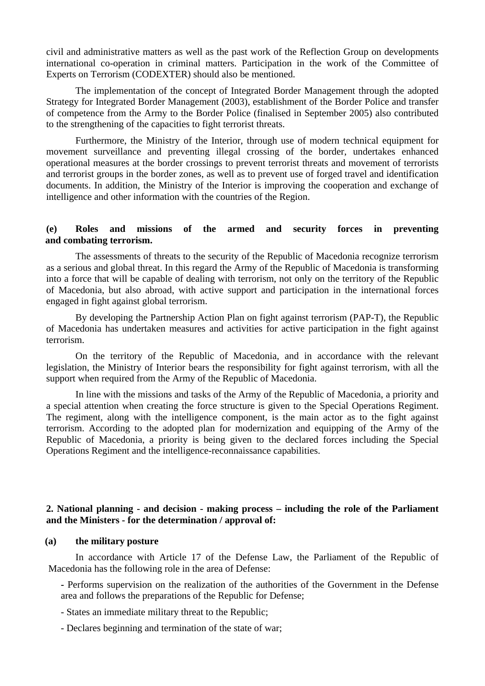civil and administrative matters as well as the past work of the Reflection Group on developments international co-operation in criminal matters. Participation in the work of the Committee of Experts on Terrorism (CODEXTER) should also be mentioned.

The implementation of the concept of Integrated Border Management through the adopted Strategy for Integrated Border Management (2003), establishment of the Border Police and transfer of competence from the Army to the Border Police (finalised in September 2005) also contributed to the strengthening of the capacities to fight terrorist threats.

Furthermore, the Ministry of the Interior, through use of modern technical equipment for movement surveillance and preventing illegal crossing of the border, undertakes enhanced operational measures at the border crossings to prevent terrorist threats and movement of terrorists and terrorist groups in the border zones, as well as to prevent use of forged travel and identification documents. In addition, the Ministry of the Interior is improving the cooperation and exchange of intelligence and other information with the countries of the Region.

#### **(e) Roles and missions of the armed and security forces in preventing and combating terrorism.**

The assessments of threats to the security of the Republic of Macedonia recognize terrorism as a serious and global threat. In this regard the Army of the Republic of Macedonia is transforming into a force that will be capable of dealing with terrorism, not only on the territory of the Republic of Macedonia, but also abroad, with active support and participation in the international forces engaged in fight against global terrorism.

By developing the Partnership Action Plan on fight against terrorism (PAP-T), the Republic of Macedonia has undertaken measures and activities for active participation in the fight against terrorism.

On the territory of the Republic of Macedonia, and in accordance with the relevant legislation, the Ministry of Interior bears the responsibility for fight against terrorism, with all the support when required from the Army of the Republic of Macedonia.

In line with the missions and tasks of the Army of the Republic of Macedonia, a priority and a special attention when creating the force structure is given to the Special Operations Regiment. The regiment, along with the intelligence component, is the main actor as to the fight against terrorism. According to the adopted plan for modernization and equipping of the Army of the Republic of Macedonia, a priority is being given to the declared forces including the Special Operations Regiment and the intelligence-reconnaissance capabilities.

#### **2. National planning - and decision - making process – including the role of the Parliament and the Ministers - for the determination / approval of:**

#### **(a) the military posture**

In accordance with Article 17 of the Defense Law, the Parliament of the Republic of Macedonia has the following role in the area of Defense:

**-** Performs supervision on the realization of the authorities of the Government in the Defense area and follows the preparations of the Republic for Defense;

- States an immediate military threat to the Republic;

- Declares beginning and termination of the state of war;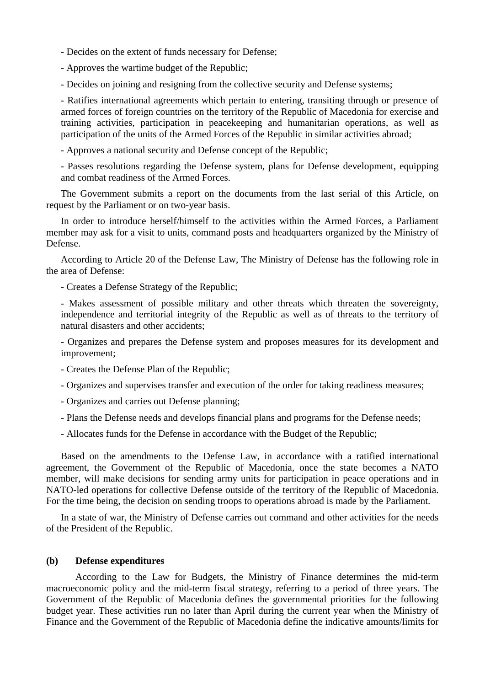- Decides on the extent of funds necessary for Defense;

- Approves the wartime budget of the Republic;

- Decides on joining and resigning from the collective security and Defense systems;

- Ratifies international agreements which pertain to entering, transiting through or presence of armed forces of foreign countries on the territory of the Republic of Macedonia for exercise and training activities, participation in peacekeeping and humanitarian operations, as well as participation of the units of the Armed Forces of the Republic in similar activities abroad;

- Approves a national security and Defense concept of the Republic;

- Passes resolutions regarding the Defense system, plans for Defense development, equipping and combat readiness of the Armed Forces.

The Government submits a report on the documents from the last serial of this Article, on request by the Parliament or on two-year basis.

In order to introduce herself/himself to the activities within the Armed Forces, a Parliament member may ask for a visit to units, command posts and headquarters organized by the Ministry of Defense.

According to Article 20 of the Defense Law, The Ministry of Defense has the following role in the area of Defense:

- Creates a Defense Strategy of the Republic;

- Makes assessment of possible military and other threats which threaten the sovereignty, independence and territorial integrity of the Republic as well as of threats to the territory of natural disasters and other accidents;

- Organizes and prepares the Defense system and proposes measures for its development and improvement;

- Creates the Defense Plan of the Republic;
- Organizes and supervises transfer and execution of the order for taking readiness measures;
- Organizes and carries out Defense planning;
- Plans the Defense needs and develops financial plans and programs for the Defense needs;
- Allocates funds for the Defense in accordance with the Budget of the Republic;

Based on the amendments to the Defense Law, in accordance with a ratified international agreement, the Government of the Republic of Macedonia, once the state becomes a NATO member, will make decisions for sending army units for participation in peace operations and in NATO-led operations for collective Defense outside of the territory of the Republic of Macedonia. For the time being, the decision on sending troops to operations abroad is made by the Parliament.

In a state of war, the Ministry of Defense carries out command and other activities for the needs of the President of the Republic.

#### **(b) Defense expenditures**

According to the Law for Budgets, the Ministry of Finance determines the mid-term macroeconomic policy and the mid-term fiscal strategy, referring to a period of three years. The Government of the Republic of Macedonia defines the governmental priorities for the following budget year. These activities run no later than April during the current year when the Ministry of Finance and the Government of the Republic of Macedonia define the indicative amounts/limits for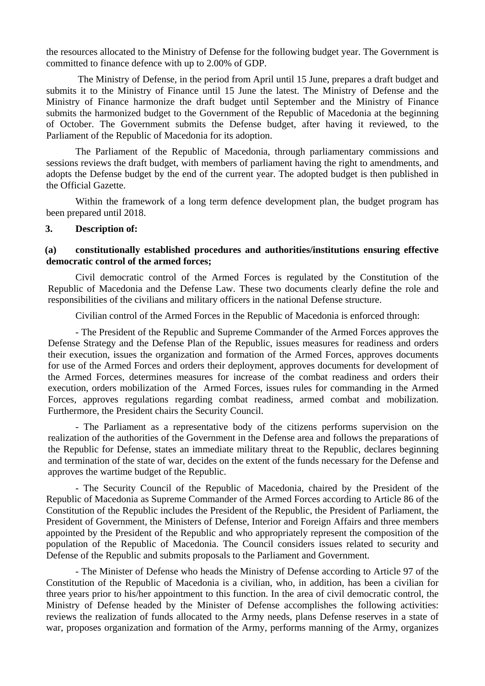the resources allocated to the Ministry of Defense for the following budget year. The Government is committed to finance defence with up to 2.00% of GDP.

 The Ministry of Defense, in the period from April until 15 June, prepares a draft budget and submits it to the Ministry of Finance until 15 June the latest. The Ministry of Defense and the Ministry of Finance harmonize the draft budget until September and the Ministry of Finance submits the harmonized budget to the Government of the Republic of Macedonia at the beginning of October. The Government submits the Defense budget, after having it reviewed, to the Parliament of the Republic of Macedonia for its adoption.

The Parliament of the Republic of Macedonia, through parliamentary commissions and sessions reviews the draft budget, with members of parliament having the right to amendments, and adopts the Defense budget by the end of the current year. The adopted budget is then published in the Official Gazette.

Within the framework of a long term defence development plan, the budget program has been prepared until 2018.

#### **3. Description of:**

#### **(a) constitutionally established procedures and authorities/institutions ensuring effective democratic control of the armed forces;**

Civil democratic control of the Armed Forces is regulated by the Constitution of the Republic of Macedonia and the Defense Law. These two documents clearly define the role and responsibilities of the civilians and military officers in the national Defense structure.

Civilian control of the Armed Forces in the Republic of Macedonia is enforced through:

- The President of the Republic and Supreme Commander of the Armed Forces approves the Defense Strategy and the Defense Plan of the Republic, issues measures for readiness and orders their execution, issues the organization and formation of the Armed Forces, approves documents for use of the Armed Forces and orders their deployment, approves documents for development of the Armed Forces, determines measures for increase of the combat readiness and orders their execution, orders mobilization of the Armed Forces, issues rules for commanding in the Armed Forces, approves regulations regarding combat readiness, armed combat and mobilization. Furthermore, the President chairs the Security Council.

- The Parliament as a representative body of the citizens performs supervision on the realization of the authorities of the Government in the Defense area and follows the preparations of the Republic for Defense, states an immediate military threat to the Republic, declares beginning and termination of the state of war, decides on the extent of the funds necessary for the Defense and approves the wartime budget of the Republic.

 - The Security Council of the Republic of Macedonia, chaired by the President of the Republic of Macedonia as Supreme Commander of the Armed Forces according to Article 86 of the Constitution of the Republic includes the President of the Republic, the President of Parliament, the President of Government, the Ministers of Defense, Interior and Foreign Affairs and three members appointed by the President of the Republic and who appropriately represent the composition of the population of the Republic of Macedonia. The Council considers issues related to security and Defense of the Republic and submits proposals to the Parliament and Government.

 - The Minister of Defense who heads the Ministry of Defense according to Article 97 of the Constitution of the Republic of Macedonia is a civilian, who, in addition, has been a civilian for three years prior to his/her appointment to this function. In the area of civil democratic control, the Ministry of Defense headed by the Minister of Defense accomplishes the following activities: reviews the realization of funds allocated to the Army needs, plans Defense reserves in a state of war, proposes organization and formation of the Army, performs manning of the Army, organizes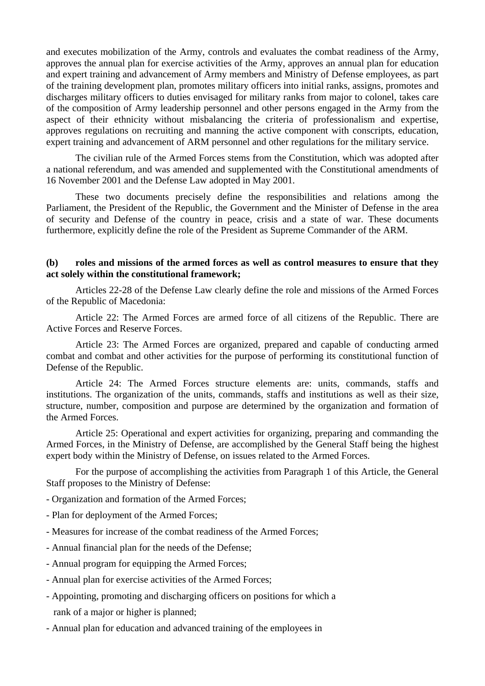and executes mobilization of the Army, controls and evaluates the combat readiness of the Army, approves the annual plan for exercise activities of the Army, approves an annual plan for education and expert training and advancement of Army members and Ministry of Defense employees, as part of the training development plan, promotes military officers into initial ranks, assigns, promotes and discharges military officers to duties envisaged for military ranks from major to colonel, takes care of the composition of Army leadership personnel and other persons engaged in the Army from the aspect of their ethnicity without misbalancing the criteria of professionalism and expertise, approves regulations on recruiting and manning the active component with conscripts, education, expert training and advancement of ARM personnel and other regulations for the military service.

 The civilian rule of the Armed Forces stems from the Constitution, which was adopted after a national referendum, and was amended and supplemented with the Constitutional amendments of 16 November 2001 and the Defense Law adopted in May 2001.

 These two documents precisely define the responsibilities and relations among the Parliament, the President of the Republic, the Government and the Minister of Defense in the area of security and Defense of the country in peace, crisis and a state of war. These documents furthermore, explicitly define the role of the President as Supreme Commander of the ARM.

#### **(b) roles and missions of the armed forces as well as control measures to ensure that they act solely within the constitutional framework;**

 Articles 22-28 of the Defense Law clearly define the role and missions of the Armed Forces of the Republic of Macedonia:

Article 22: The Armed Forces are armed force of all citizens of the Republic. There are Active Forces and Reserve Forces.

Article 23: The Armed Forces are organized, prepared and capable of conducting armed combat and combat and other activities for the purpose of performing its constitutional function of Defense of the Republic.

Article 24: The Armed Forces structure elements are: units, commands, staffs and institutions. The organization of the units, commands, staffs and institutions as well as their size, structure, number, composition and purpose are determined by the organization and formation of the Armed Forces.

Article 25: Operational and expert activities for organizing, preparing and commanding the Armed Forces, in the Ministry of Defense, are accomplished by the General Staff being the highest expert body within the Ministry of Defense, on issues related to the Armed Forces.

For the purpose of accomplishing the activities from Paragraph 1 of this Article, the General Staff proposes to the Ministry of Defense:

- Organization and formation of the Armed Forces;
- Plan for deployment of the Armed Forces;
- Measures for increase of the combat readiness of the Armed Forces;
- Annual financial plan for the needs of the Defense;
- Annual program for equipping the Armed Forces;
- Annual plan for exercise activities of the Armed Forces;
- Appointing, promoting and discharging officers on positions for which a rank of a major or higher is planned;
- Annual plan for education and advanced training of the employees in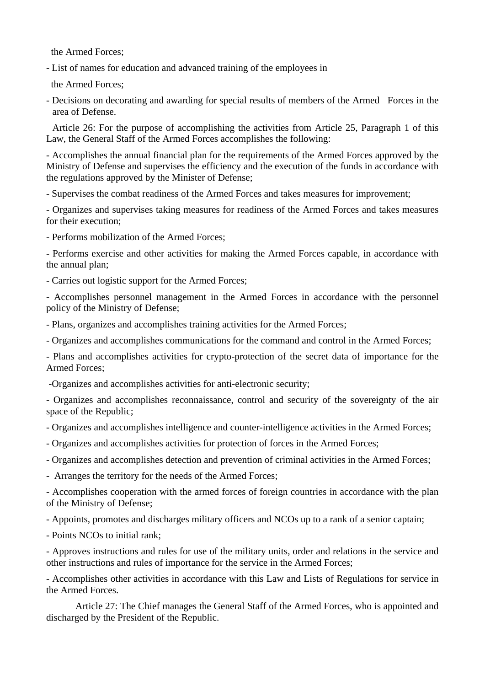the Armed Forces;

- List of names for education and advanced training of the employees in

the Armed Forces;

- Decisions on decorating and awarding for special results of members of the Armed Forces in the area of Defense.

Article 26: For the purpose of accomplishing the activities from Article 25, Paragraph 1 of this Law, the General Staff of the Armed Forces accomplishes the following:

- Accomplishes the annual financial plan for the requirements of the Armed Forces approved by the Ministry of Defense and supervises the efficiency and the execution of the funds in accordance with the regulations approved by the Minister of Defense;

- Supervises the combat readiness of the Armed Forces and takes measures for improvement;

- Organizes and supervises taking measures for readiness of the Armed Forces and takes measures for their execution;

- Performs mobilization of the Armed Forces;

- Performs exercise and other activities for making the Armed Forces capable, in accordance with the annual plan;

- Carries out logistic support for the Armed Forces;

- Accomplishes personnel management in the Armed Forces in accordance with the personnel policy of the Ministry of Defense;

- Plans, organizes and accomplishes training activities for the Armed Forces;

- Organizes and accomplishes communications for the command and control in the Armed Forces;

- Plans and accomplishes activities for crypto-protection of the secret data of importance for the Armed Forces;

-Organizes and accomplishes activities for anti-electronic security;

- Organizes and accomplishes reconnaissance, control and security of the sovereignty of the air space of the Republic;

- Organizes and accomplishes intelligence and counter-intelligence activities in the Armed Forces;

- Organizes and accomplishes activities for protection of forces in the Armed Forces;

- Organizes and accomplishes detection and prevention of criminal activities in the Armed Forces;

- Arranges the territory for the needs of the Armed Forces;

- Accomplishes cooperation with the armed forces of foreign countries in accordance with the plan of the Ministry of Defense;

- Appoints, promotes and discharges military officers and NCOs up to a rank of a senior captain;

- Points NCOs to initial rank;

- Approves instructions and rules for use of the military units, order and relations in the service and other instructions and rules of importance for the service in the Armed Forces;

- Accomplishes other activities in accordance with this Law and Lists of Regulations for service in the Armed Forces.

Article 27: The Chief manages the General Staff of the Armed Forces, who is appointed and discharged by the President of the Republic.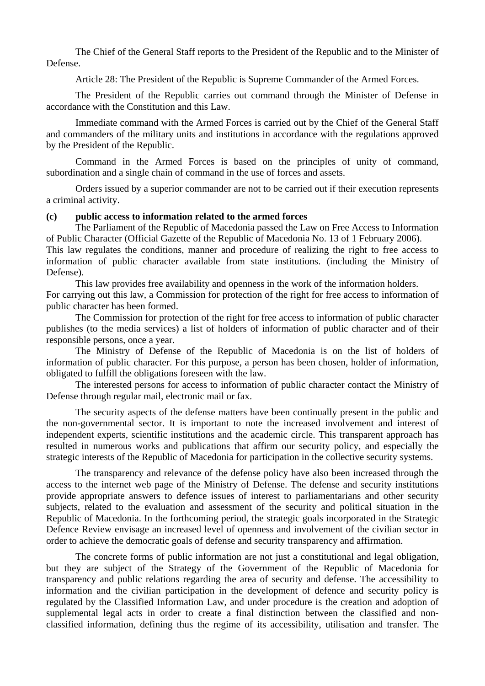The Chief of the General Staff reports to the President of the Republic and to the Minister of Defense.

Article 28: The President of the Republic is Supreme Commander of the Armed Forces.

The President of the Republic carries out command through the Minister of Defense in accordance with the Constitution and this Law.

Immediate command with the Armed Forces is carried out by the Chief of the General Staff and commanders of the military units and institutions in accordance with the regulations approved by the President of the Republic.

Command in the Armed Forces is based on the principles of unity of command, subordination and a single chain of command in the use of forces and assets.

Orders issued by a superior commander are not to be carried out if their execution represents a criminal activity.

#### **(c) public access to information related to the armed forces**

The Parliament of the Republic of Macedonia passed the Law on Free Access to Information of Public Character (Official Gazette of the Republic of Macedonia No. 13 of 1 February 2006). This law regulates the conditions, manner and procedure of realizing the right to free access to information of public character available from state institutions. (including the Ministry of Defense).

This law provides free availability and openness in the work of the information holders. For carrying out this law, a Commission for protection of the right for free access to information of public character has been formed.

The Commission for protection of the right for free access to information of public character publishes (to the media services) a list of holders of information of public character and of their responsible persons, once a year.

The Ministry of Defense of the Republic of Macedonia is on the list of holders of information of public character. For this purpose, a person has been chosen, holder of information, obligated to fulfill the obligations foreseen with the law.

The interested persons for access to information of public character contact the Ministry of Defense through regular mail, electronic mail or fax.

The security aspects of the defense matters have been continually present in the public and the non-governmental sector. It is important to note the increased involvement and interest of independent experts, scientific institutions and the academic circle. This transparent approach has resulted in numerous works and publications that affirm our security policy, and especially the strategic interests of the Republic of Macedonia for participation in the collective security systems.

The transparency and relevance of the defense policy have also been increased through the access to the internet web page of the Ministry of Defense. The defense and security institutions provide appropriate answers to defence issues of interest to parliamentarians and other security subjects, related to the evaluation and assessment of the security and political situation in the Republic of Macedonia. In the forthcoming period, the strategic goals incorporated in the Strategic Defence Review envisage an increased level of openness and involvement of the civilian sector in order to achieve the democratic goals of defense and security transparency and affirmation.

The concrete forms of public information are not just a constitutional and legal obligation, but they are subject of the Strategy of the Government of the Republic of Macedonia for transparency and public relations regarding the area of security and defense. The accessibility to information and the civilian participation in the development of defence and security policy is regulated by the Classified Information Law, and under procedure is the creation and adoption of supplemental legal acts in order to create a final distinction between the classified and nonclassified information, defining thus the regime of its accessibility, utilisation and transfer. The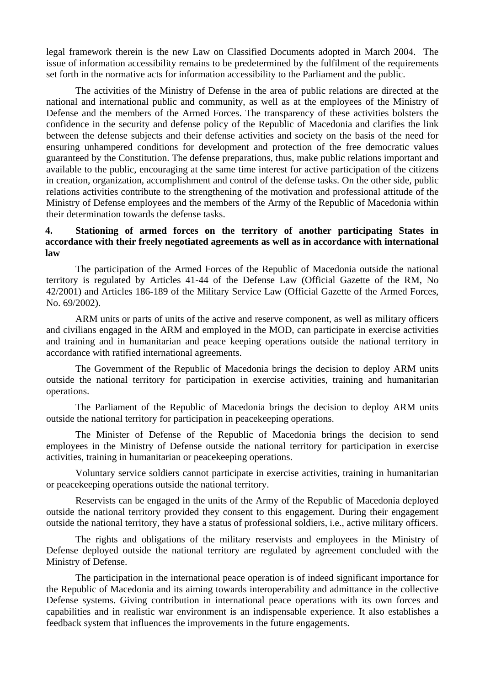legal framework therein is the new Law on Classified Documents adopted in March 2004. The issue of information accessibility remains to be predetermined by the fulfilment of the requirements set forth in the normative acts for information accessibility to the Parliament and the public.

 The activities of the Ministry of Defense in the area of public relations are directed at the national and international public and community, as well as at the employees of the Ministry of Defense and the members of the Armed Forces. The transparency of these activities bolsters the confidence in the security and defense policy of the Republic of Macedonia and clarifies the link between the defense subjects and their defense activities and society on the basis of the need for ensuring unhampered conditions for development and protection of the free democratic values guaranteed by the Constitution. The defense preparations, thus, make public relations important and available to the public, encouraging at the same time interest for active participation of the citizens in creation, organization, accomplishment and control of the defense tasks. On the other side, public relations activities contribute to the strengthening of the motivation and professional attitude of the Ministry of Defense employees and the members of the Army of the Republic of Macedonia within their determination towards the defense tasks.

#### **4. Stationing of armed forces on the territory of another participating States in accordance with their freely negotiated agreements as well as in accordance with international law**

 The participation of the Armed Forces of the Republic of Macedonia outside the national territory is regulated by Articles 41-44 of the Defense Law (Official Gazette of the RM, No 42/2001) and Articles 186-189 of the Military Service Law (Official Gazette of the Armed Forces, No. 69/2002).

 ARM units or parts of units of the active and reserve component, as well as military officers and civilians engaged in the ARM and employed in the MOD, can participate in exercise activities and training and in humanitarian and peace keeping operations outside the national territory in accordance with ratified international agreements.

 The Government of the Republic of Macedonia brings the decision to deploy ARM units outside the national territory for participation in exercise activities, training and humanitarian operations.

 The Parliament of the Republic of Macedonia brings the decision to deploy ARM units outside the national territory for participation in peacekeeping operations.

 The Minister of Defense of the Republic of Macedonia brings the decision to send employees in the Ministry of Defense outside the national territory for participation in exercise activities, training in humanitarian or peacekeeping operations.

 Voluntary service soldiers cannot participate in exercise activities, training in humanitarian or peacekeeping operations outside the national territory.

 Reservists can be engaged in the units of the Army of the Republic of Macedonia deployed outside the national territory provided they consent to this engagement. During their engagement outside the national territory, they have a status of professional soldiers, i.e., active military officers.

The rights and obligations of the military reservists and employees in the Ministry of Defense deployed outside the national territory are regulated by agreement concluded with the Ministry of Defense.

The participation in the international peace operation is of indeed significant importance for the Republic of Macedonia and its aiming towards interoperability and admittance in the collective Defense systems. Giving contribution in international peace operations with its own forces and capabilities and in realistic war environment is an indispensable experience. It also establishes a feedback system that influences the improvements in the future engagements.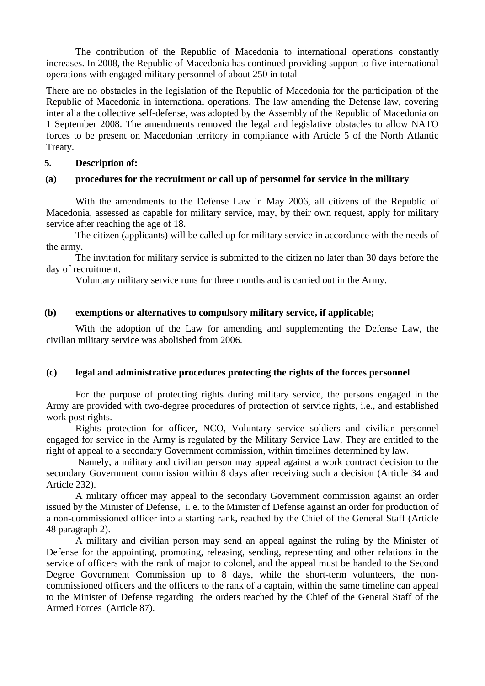The contribution of the Republic of Macedonia to international operations constantly increases. In 2008, the Republic of Macedonia has continued providing support to five international operations with engaged military personnel of about 250 in total

There are no obstacles in the legislation of the Republic of Macedonia for the participation of the Republic of Macedonia in international operations. The law amending the Defense law, covering inter alia the collective self-defense, was adopted by the Assembly of the Republic of Macedonia on 1 September 2008. The amendments removed the legal and legislative obstacles to allow NATO forces to be present on Macedonian territory in compliance with Article 5 of the North Atlantic Treaty.

#### **5. Description of:**

#### **(a) procedures for the recruitment or call up of personnel for service in the military**

With the amendments to the Defense Law in May 2006, all citizens of the Republic of Macedonia, assessed as capable for military service, may, by their own request, apply for military service after reaching the age of 18.

The citizen (applicants) will be called up for military service in accordance with the needs of the army.

The invitation for military service is submitted to the citizen no later than 30 days before the day of recruitment.

Voluntary military service runs for three months and is carried out in the Army.

#### **(b) exemptions or alternatives to compulsory military service, if applicable;**

With the adoption of the Law for amending and supplementing the Defense Law, the civilian military service was abolished from 2006.

#### **(c) legal and administrative procedures protecting the rights of the forces personnel**

For the purpose of protecting rights during military service, the persons engaged in the Army are provided with two-degree procedures of protection of service rights, i.e., and established work post rights.

Rights protection for officer, NCO, Voluntary service soldiers and civilian personnel engaged for service in the Army is regulated by the Military Service Law. They are entitled to the right of appeal to a secondary Government commission, within timelines determined by law.

 Namely, a military and civilian person may appeal against a work contract decision to the secondary Government commission within 8 days after receiving such a decision (Article 34 and Article 232).

A military officer may appeal to the secondary Government commission against an order issued by the Minister of Defense, i. e. to the Minister of Defense against an order for production of a non-commissioned officer into a starting rank, reached by the Chief of the General Staff (Article 48 paragraph 2).

A military and civilian person may send an appeal against the ruling by the Minister of Defense for the appointing, promoting, releasing, sending, representing and other relations in the service of officers with the rank of major to colonel, and the appeal must be handed to the Second Degree Government Commission up to 8 days, while the short-term volunteers, the noncommissioned officers and the officers to the rank of a captain, within the same timeline can appeal to the Minister of Defense regarding the orders reached by the Chief of the General Staff of the Armed Forces (Article 87).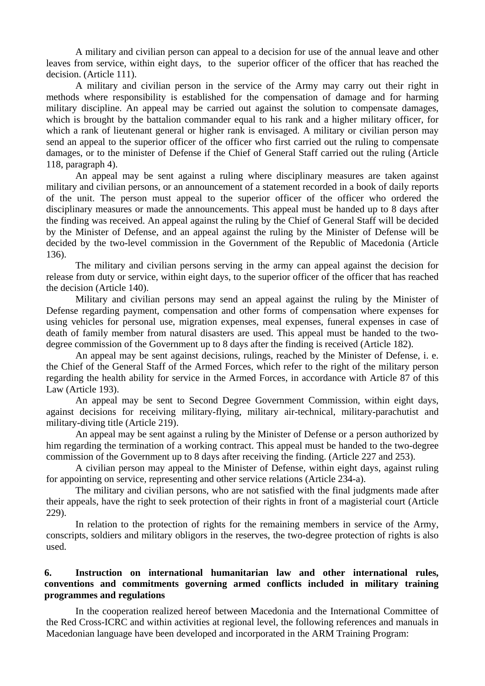A military and civilian person can appeal to a decision for use of the annual leave and other leaves from service, within eight days, to the superior officer of the officer that has reached the decision. (Article 111).

A military and civilian person in the service of the Army may carry out their right in methods where responsibility is established for the compensation of damage and for harming military discipline. An appeal may be carried out against the solution to compensate damages, which is brought by the battalion commander equal to his rank and a higher military officer, for which a rank of lieutenant general or higher rank is envisaged. A military or civilian person may send an appeal to the superior officer of the officer who first carried out the ruling to compensate damages, or to the minister of Defense if the Chief of General Staff carried out the ruling (Article 118, paragraph 4).

An appeal may be sent against a ruling where disciplinary measures are taken against military and civilian persons, or an announcement of a statement recorded in a book of daily reports of the unit. The person must appeal to the superior officer of the officer who ordered the disciplinary measures or made the announcements. This appeal must be handed up to 8 days after the finding was received. An appeal against the ruling by the Chief of General Staff will be decided by the Minister of Defense, and an appeal against the ruling by the Minister of Defense will be decided by the two-level commission in the Government of the Republic of Macedonia (Article 136).

The military and civilian persons serving in the army can appeal against the decision for release from duty or service, within eight days, to the superior officer of the officer that has reached the decision (Article 140).

Military and civilian persons may send an appeal against the ruling by the Minister of Defense regarding payment, compensation and other forms of compensation where expenses for using vehicles for personal use, migration expenses, meal expenses, funeral expenses in case of death of family member from natural disasters are used. This appeal must be handed to the twodegree commission of the Government up to 8 days after the finding is received (Article 182).

An appeal may be sent against decisions, rulings, reached by the Minister of Defense, i. e. the Chief of the General Staff of the Armed Forces, which refer to the right of the military person regarding the health ability for service in the Armed Forces, in accordance with Article 87 of this Law (Article 193).

An appeal may be sent to Second Degree Government Commission, within eight days, against decisions for receiving military-flying, military air-technical, military-parachutist and military-diving title (Article 219).

An appeal may be sent against a ruling by the Minister of Defense or a person authorized by him regarding the termination of a working contract. This appeal must be handed to the two-degree commission of the Government up to 8 days after receiving the finding. (Article 227 and 253).

A civilian person may appeal to the Minister of Defense, within eight days, against ruling for appointing on service, representing and other service relations (Article 234-a).

The military and civilian persons, who are not satisfied with the final judgments made after their appeals, have the right to seek protection of their rights in front of a magisterial court (Article 229).

In relation to the protection of rights for the remaining members in service of the Army, conscripts, soldiers and military obligors in the reserves, the two-degree protection of rights is also used.

#### **6. Instruction on international humanitarian law and other international rules, conventions and commitments governing armed conflicts included in military training programmes and regulations**

In the cooperation realized hereof between Macedonia and the International Committee of the Red Cross-ICRC and within activities at regional level, the following references and manuals in Macedonian language have been developed and incorporated in the ARM Training Program: